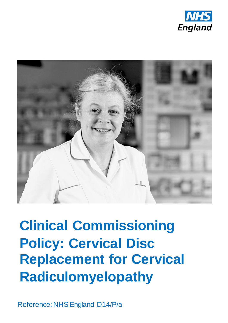



# **Clinical Commissioning Policy: Cervical Disc Replacement for Cervical Radiculomyelopathy**

Reference: NHS England D14/P/a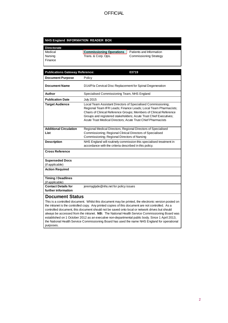#### **NHS England INFORMATION READER BOX**

| <b>Directorate</b> |                                 |                          |
|--------------------|---------------------------------|--------------------------|
| Medical            | <b>Commissioning Operations</b> | Patients and Information |
| Nursina            | Trans. & Corp. Ops.             | Commissioning Strategy   |
| Finance            |                                 |                          |

| <b>Publications Gateway Reference:</b>                                                                                                                                                                                                                                                                                                                                                                                                                                                                                                                                                                           | 03719                                                                                                                                                                                                                                                                                                                                      |  |
|------------------------------------------------------------------------------------------------------------------------------------------------------------------------------------------------------------------------------------------------------------------------------------------------------------------------------------------------------------------------------------------------------------------------------------------------------------------------------------------------------------------------------------------------------------------------------------------------------------------|--------------------------------------------------------------------------------------------------------------------------------------------------------------------------------------------------------------------------------------------------------------------------------------------------------------------------------------------|--|
| <b>Document Purpose</b>                                                                                                                                                                                                                                                                                                                                                                                                                                                                                                                                                                                          | Policy                                                                                                                                                                                                                                                                                                                                     |  |
| <b>Document Name</b>                                                                                                                                                                                                                                                                                                                                                                                                                                                                                                                                                                                             | D14/P/a Cervical Disc Replacement for Spinal Degeneration                                                                                                                                                                                                                                                                                  |  |
| Author                                                                                                                                                                                                                                                                                                                                                                                                                                                                                                                                                                                                           | Specialised Commissioning Team, NHS England                                                                                                                                                                                                                                                                                                |  |
| <b>Publication Date</b>                                                                                                                                                                                                                                                                                                                                                                                                                                                                                                                                                                                          | <b>July 2015</b>                                                                                                                                                                                                                                                                                                                           |  |
| <b>Target Audience</b>                                                                                                                                                                                                                                                                                                                                                                                                                                                                                                                                                                                           | Local Team Assistant Directors of Specialised Commissioning;<br>Regional Team IFR Leads; Finance Leads; Local Team Pharmacists;<br>Chairs of Clinical Reference Groups; Members of Clinical Reference<br>Groups and registered stakeholders; Acute Trust Chief Executives;<br>Acute Trust Medical Directors; Acute Trust Chief Pharmacists |  |
| <b>Additional Circulation</b><br>List                                                                                                                                                                                                                                                                                                                                                                                                                                                                                                                                                                            | Regional Medical Directors; Regional Directors of Specialised<br>Commissioning; Regional Clinical Directors of Specialised<br>Commissioning; Regional Directors of Nursing                                                                                                                                                                 |  |
| <b>Description</b>                                                                                                                                                                                                                                                                                                                                                                                                                                                                                                                                                                                               | NHS England will routinely commission this specialised treatment in<br>accordance with the criteria described in this policy.                                                                                                                                                                                                              |  |
| <b>Cross Reference</b>                                                                                                                                                                                                                                                                                                                                                                                                                                                                                                                                                                                           |                                                                                                                                                                                                                                                                                                                                            |  |
| <b>Superseded Docs</b><br>(if applicable)                                                                                                                                                                                                                                                                                                                                                                                                                                                                                                                                                                        |                                                                                                                                                                                                                                                                                                                                            |  |
| <b>Action Required</b>                                                                                                                                                                                                                                                                                                                                                                                                                                                                                                                                                                                           |                                                                                                                                                                                                                                                                                                                                            |  |
| <b>Timing / Deadlines</b><br>(if applicable)                                                                                                                                                                                                                                                                                                                                                                                                                                                                                                                                                                     |                                                                                                                                                                                                                                                                                                                                            |  |
| <b>Contact Details for</b><br>further information                                                                                                                                                                                                                                                                                                                                                                                                                                                                                                                                                                | jeremyglyde@nhs.net for policy issues                                                                                                                                                                                                                                                                                                      |  |
| <b>Document Status</b>                                                                                                                                                                                                                                                                                                                                                                                                                                                                                                                                                                                           |                                                                                                                                                                                                                                                                                                                                            |  |
| This is a controlled document. Whilst this document may be printed, the electronic version posted on<br>the intranet is the controlled copy. Any printed copies of this document are not controlled. As a<br>controlled document, this document should not be saved onto local or network drives but should<br>always be accessed from the intranet. NB: The National Health Service Commissioning Board was<br>established on 1 October 2012 as an executive non-departmental public body. Since 1 April 2013,<br>the National Health Service Commissioning Board has used the name NHS England for operational |                                                                                                                                                                                                                                                                                                                                            |  |

purposes.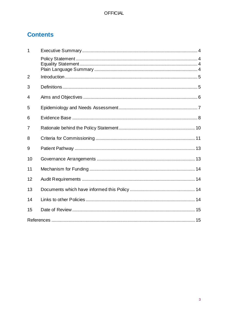# **Contents**

| $\mathbf 1$    |  |
|----------------|--|
|                |  |
| $\overline{2}$ |  |
| 3              |  |
| 4              |  |
| 5              |  |
| 6              |  |
| 7              |  |
| 8              |  |
| 9              |  |
| 10             |  |
| 11             |  |
| 12             |  |
| 13             |  |
| 14             |  |
| 15             |  |
|                |  |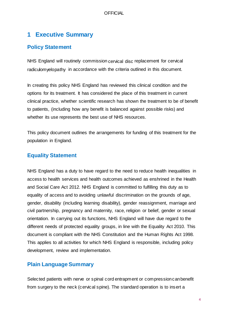# <span id="page-3-0"></span>**1 Executive Summary**

## <span id="page-3-1"></span>**Policy Statement**

NHS England will routinely commission cervical disc replacement for cervical radiculomyelopathy in accordance with the criteria outlined in this document.

In creating this policy NHS England has reviewed this clinical condition and the options for its treatment. It has considered the place of this treatment in current clinical practice, whether scientific research has shown the treatment to be of benefit to patients, (including how any benefit is balanced against possible risks) and whether its use represents the best use of NHS resources.

This policy document outlines the arrangements for funding of this treatment for the population in England.

## <span id="page-3-2"></span>**Equality Statement**

NHS England has a duty to have regard to the need to reduce health inequalities in access to health services and health outcomes achieved as enshrined in the Health and Social Care Act 2012. NHS England is committed to fulfilling this duty as to equality of access and to avoiding unlawful discrimination on the grounds of age, gender, disability (including learning disability), gender reassignment, marriage and civil partnership, pregnancy and maternity, race, religion or belief, gender or sexual orientation. In carrying out its functions, NHS England will have due regard to the different needs of protected equality groups, in line with the Equality Act 2010. This document is compliant with the NHS Constitution and the Human Rights Act 1998. This applies to all activities for which NHS England is responsible, including policy development, review and implementation.

## <span id="page-3-3"></span>**Plain Language Summary**

Selected patients with nerve or spinal cord entrapment or compressioncanbenefit from surgery to the neck (cervical spine). The standard operation is to insert a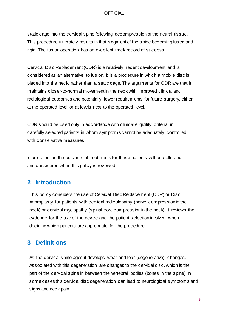static cage into the cervical spine following decompression of the neural tissue. This procedure ultimately results in that segment of the spine becoming fused and rigid. The fusion operation has an excellent track record of success.

Cervical Disc Replacement (CDR) is a relatively recent development and is considered as an alternative to fusion. It is a procedure in which a mobile disc is placed into the neck, rather than a static cage. The arguments for CDR are that it maintains closer-to-normal movement in the neck with improved clinical and radiological outcomes and potentially fewer requirements for future surgery, either at the operated level or at levels next to the operated level.

CDR should be used only in accordance with clinical eligibility criteria, in carefully selected patients in whom symptoms cannot be adequately controlled with conservative measures.

Information on the outcome of treatments for these patients will be collected and considered when this policy is reviewed.

## <span id="page-4-0"></span>**2 Introduction**

This policy considers the use of Cervical Disc Replacement (CDR) or Disc Arthroplasty for patients with cervical radiculopathy (nerve compressionin the neck) or cervical myelopathy (spinal cord compressionin the neck). It reviews the evidence for the use of the device and the patient selection involved when deciding which patients are appropriate for the procedure.

# <span id="page-4-1"></span>**3 Definitions**

As the cervical spine ages it develops wear and tear (degenerative) changes. Associated with this degeneration are changes to the cervical disc, which is the part of the cervical spine in between the vertebral bodies (bones in the spine). In some cases this cervical disc degeneration can lead to neurological symptoms and signs and neck pain.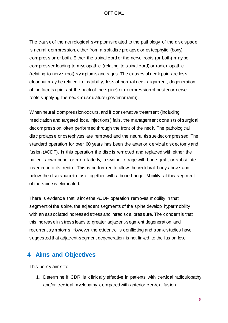The causeof the neurological symptoms related to the pathology of the disc space is neural compression, either from a soft disc prolapse or osteophytic (bony) compressionor both. Either the spinal cord or the nerve roots (or both) may be compressedleading to myelopathic (relating to spinal cord) or radiculopathic (relating to nerve root) symptoms and signs. The causes of neck pain are less clear but may be related to instability, loss of normal neck alignment, degeneration of the facets (joints at the back of the spine) or compressionof posterior nerve roots supplying the neck musculature (posterior rami).

When neural compressionoccurs, and if conservative treatment (including medication and targeted local injections) fails, the management consists of surgical decompression, often performed through the front of the neck. The pathological disc prolapse or ostephytes are removed and the neural tissue decompressed. The standard operation for over 60 years has been the anterior cervical discectomy and fusion (ACDF). In this operation the disc is removed and replaced with either the patient's own bone, or more latterly, a synthetic cage with bone graft, or substitute inserted into its centre. This is performed to allow the vertebral body above and below the disc spaceto fuse together with a bone bridge. Mobility at this segment of the spine is eliminated.

There is evidence that, sincethe ACDF operation removes mobility in that segment of the spine, the adjacent segments of the spine develop hypermobility with an associated increased stress and intradiscal pressure. The concernis that this increase in stress leads to greater adjacent-segment degeneration and recurrent symptoms. However the evidence is conflicting and somestudies have suggested that adjacent-segment degeneration is not linked to the fusion level.

# <span id="page-5-0"></span>**4 Aims and Objectives**

This policy aims to:

1. Determine if CDR is clinically effective in patients with cervical radiculopathy and/or cervical myelopathy comparedwith anterior cervical fusion.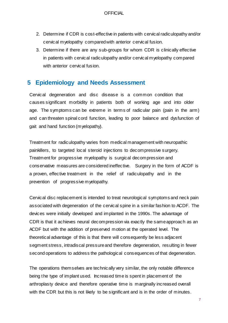- 2. Determine if CDR is cost-effective in patients with cervical radiculopathy and/or cervical myelopathy comparedwith anterior cervical fusion.
- 3. Determine if there are any sub-groups for whom CDR is clinically effective in patients with cervical radiculopathy and/or cervical myelopathy compared with anterior cervical fusion.

## <span id="page-6-0"></span>**5 Epidemiology and Needs Assessment**

Cervical degeneration and disc disease is a common condition that causes significant morbidity in patients both of working age and into older age. The symptoms can be extreme in terms of radicular pain (pain in the arm) and can threaten spinal cord function, leading to poor balance and dysfunction of gait and hand function (myelopathy).

Treatment for radiculopathy varies from medical management with neuropathic painkillers, to targeted local steroid injections to decompressive surgery. Treatment for progressive myelopathy is surgical decompression and conservative measures are considered ineffective. Surgery in the form of ACDF is a proven, effective treatment in the relief of radiculopathy and in the prevention of progressive myelopathy.

Cervical disc replacement is intended to treat neurological symptoms and neck pain associated with degeneration of the cervical spine in a similar fashion to ACDF. The devices were initially developed and implanted in the 1990s. The advantage of CDR is that it achieves neural decompression via exactly the sameapproach as an ACDF but with the addition of preserved motion at the operated level. The theoretical advantage of this is that there will consequently be less adjacent segment stress, intradiscal pressureand therefore degeneration, resulting in fewer second operations to address the pathological consequences of that degeneration.

The operations themselves are technically very similar, the only notable difference being the type of implant used. Increased time is spent in placement of the arthroplasty device and therefore operative time is marginally increased overall with the CDR but this is not likely to be significant and is in the order of minutes.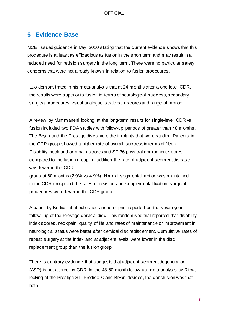# <span id="page-7-0"></span>**6 Evidence Base**

NICE issued guidance in May 2010 stating that the current evidence shows that this procedure is at least as efficacious as fusion in the short term and may result in a reduced need for revision surgery in the long term. There were no particular safety concerns that were not already known in relation to fusion procedures.

Luo demonstrated in his meta-analysis that at 24 months after a one level CDR, the results were superior to fusion in terms of neurological success,secondary surgical procedures, visual analogue scalepain scores and range of motion.

A review by Mummaneni looking at the long-term results for single-level CDR vs fusion included two FDA studies with follow-up periods of greater than 48 months. The Bryan and the Prestige discs were the implants that were studied. Patients in the CDR group showed a higher rate of overall successin terms of Neck Disability, neck and arm pain scores and SF-36 physical component scores compared to the fusion group. In addition the rate of adjacent segment disease was lower in the CDR

group at 60 months (2.9% vs 4.9%). Normal segmental motion was maintained in the CDR group and the rates of revision and supplemental fixation surgical procedures were lower in the CDR group.

A paper by Burkus et al published ahead of print reported on the seven-year follow- up of the Prestige cervical disc. This randomised trial reported that disability index scores, neckpain, quality of life and rates of maintenance or improvement in neurological status were better after cervical disc replacement. Cumulative rates of repeat surgery at the index and at adjacent levels were lower in the disc replacement group than the fusion group.

There is contrary evidence that suggests that adjacent segment degeneration (ASD) is not altered by CDR. In the 48-60 month follow-up meta-analysis by Riew, looking at the Prestige ST, Prodisc-C and Bryan devices, the conclusion was that both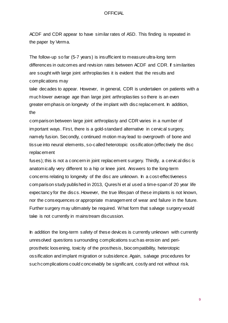ACDF and CDR appear to have similar rates of ASD. This finding is repeated in the paper by Verma.

The follow-up so far (5-7 years) is insufficient to measure ultra-long term differences in outcomes and revision rates between ACDF and CDR. If similarities are sought with large joint arthroplasties it is evident that the results and complications may

take decades to appear. However, in general, CDR is undertaken on patients with a muchlower average age than large joint arthroplasties so there is an even greater emphasis on longevity of the implant with disc replacement. In addition, the

comparison between large joint arthroplasty and CDR varies in a number of important ways. First, there is a gold-standard alternative in cervical surgery, namely fusion. Secondly, continued motion may lead to overgrowth of bone and tissue into neural elements, so-called heterotopic ossification (effectively the disc replacement

fuses); this is not a concern in joint replacement surgery. Thirdly, a cervical disc is anatomically very different to a hip or knee joint. Answers to the long-term concerns relating to longevity of the disc are unknown. In a cost-effectiveness comparison study published in 2013, Qureshi et al used a time-span of 20 year life expectancy for the discs.However, the true lifespan of these implants is not known, nor the consequences or appropriate management of wear and failure in the future. Further surgery may ultimately be required. What form that salvage surgery would take is not currently in mainstream discussion.

In addition the long-term safety of these devices is currently unknown with currently unresolved questions surrounding complications suchas erosion and periprosthetic loosening, toxicity of the prosthesis, biocompatibility, heterotopic ossification and implant migration or subsidence. Again, salvage procedures for suchcomplications could conceivably be significant, costly and not without risk.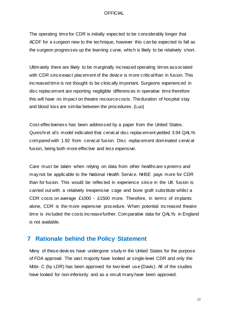The operating time for CDR is initially expected to be considerably longer that ACDF for a surgeon new to the technique, however this can be expected to fall as the surgeon progresses up the learning curve, which is likely to be relatively short.

Ultimately there are likely to be marginally increased operating times associated with CDR sinceexact placement of the device is more criticalthan in fusion. This increased time is not thought to be clinically important. Surgeons experienced in disc replacement are reporting negligible differences in operative time therefore this will have no impact on theatre resourcecosts. Theduration of hospital stay and blood loss are similar between the procedures. (Luo)

Cost-effectiveness has been addressed by a paper from the United States. Qureshi et al's model indicated that cervical disc replacement yielded 3.94 QALYs compared with 1.92 from cervical fusion. Disc replacement dominated cervical fusion, being both more effective and less expensive.

Care must be taken when relying on data from other healthcare systems and may not be applicable to the National Health Service. NHSE pays more for CDR than for fusion. This would be reflected in experience since in the UK fusion is carried out with a relatively inexpensive cage and bone graft substitute whilst a CDR costs on average £1000 - £1500 more. Therefore, in terms of implants alone, CDR is the more expensive procedure. When potential increased theatre time is included the costs increasefurther. Comparative data for QALYs in England is not available.

## <span id="page-9-0"></span>**7 Rationale behind the Policy Statement**

Many of these devices have undergone study in the United States for the purpose of FDA approval. The vast majority have looked at single-level CDR and only the Mobi- C (by LDR) has been approved for two-level use (Davis). All of the studies have looked for non-inferiority and as a result many have been approved.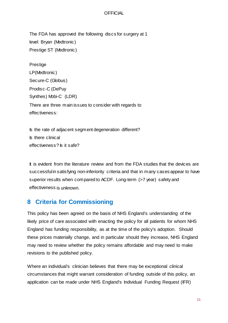The FDA has approved the following discs for surgery at 1 level: Bryan (Medtronic) Prestige ST (Medtronic)

**Prestige** LP(Medtronic) Secure-C (Globus) Prodisc-C (DePuy Synthes) Mobi-C (LDR) There are three main issues to consider with regards to effectiveness:

Is the rate of adjacent segment degeneration different? Is there clinical effectiveness? Is it safe?

It is evident from the literature review and from the FDA studies that the devices are successful in satisfying non-inferiority criteria and that in many cases appear to have superior results when compared to ACDF. Long-term (>7 year) safety and effectiveness is unknown.

# <span id="page-10-0"></span>**8 Criteria for Commissioning**

This policy has been agreed on the basis of NHS England's understanding of the likely price of care associated with enacting the policy for all patients for whom NHS England has funding responsibility, as at the time of the policy's adoption. Should these prices materially change, and in particular should they increase, NHS England may need to review whether the policy remains affordable and may need to make revisions to the published policy.

Where an individual's clinician believes that there may be exceptional clinical circumstances that might warrant consideration of funding outside of this policy, an application can be made under NHS England's Individual Funding Request (IFR)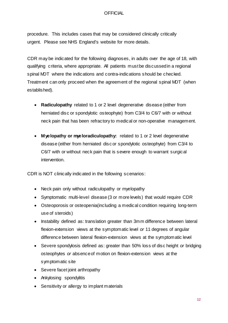procedure. This includes cases that may be considered clinically critically urgent. Please see NHS England's website for more details.

CDR may be indicated for the following diagnoses, in adults over the age of 18, with qualifying criteria, where appropriate. All patients mustbe discussedin a regional spinal MDT where the indications and contra-indications should be checked. Treatment can only proceed when the agreement of the regional spinal MDT (when established).

- **Radiculopathy** related to 1 or 2 level degenerative disease (either from herniated disc or spondylotic osteophyte) from C3/4 to C6/7 with or without neck pain that has been refractory to medical or non-operative management.
- **Myelopathy or myeloradiculopathy:** related to 1 or 2 level degenerative disease (either from herniated disc or spondylotic osteophyte) from C3/4 to C6/7 with or without neck pain that is severe enough to warrant surgical intervention.

CDR is NOT clinically indicated in the following scenarios:

- Neck pain only without radiculopathy or myelopathy
- Symptomatic multi-level disease (3 or more levels) that would require CDR
- Osteoporosis or osteopenia(including a medical condition requiring long-term use of steroids)
- Instability defined as: translation greater than 3mm difference between lateral flexion-extension views at the symptomatic level *or* 11 degrees of angular difference between lateral flexion-extension views at the symptomatic level
- Severe spondylosis defined as: greater than 50% loss of disc height *or* bridging osteophytes *or* absenceof motion on flexion-extension views at the symptomatic site
- Severe facet joint arthropathy
- Ankylosing spondylitis
- Sensitivity or allergy to implant materials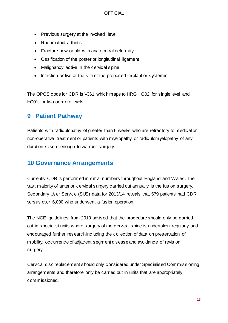- Previous surgery at the involved level
- Rheumatoid arthritis
- Fracture new or old with anatomical deformity
- Ossification of the posterior longitudinal ligament
- Malignancy active in the cervical spine
- Infection active at the site of the proposed implant or systemic

The OPCS code for CDR is V361 which maps to HRG HC02 for single level and HC01 for two or more levels.

# <span id="page-12-0"></span>**9 Patient Pathway**

Patients with radiculopathy of greater than 6 weeks who are refractory to medical or non-operative treatment or patients with myelopathy or radiculomyelopathy of any duration severe enough to warrant surgery.

# <span id="page-12-1"></span>**10 Governance Arrangements**

Currently CDR is performed in smallnumbers throughout England and Wales. The vast majority of anterior cervical surgery carried out annually is the fusion surgery. Secondary User Service (SUS) data for 2013/14 reveals that 579 patients had CDR versus over 6,000 who underwent a fusion operation.

The NICE guidelines from 2010 advised that the procedure should only be carried out in specialist units where surgery of the cervical spine is undertaken regularly and encouraged further researchincluding the collection of data on preservation of mobility, occurrence of adjacent segment disease and avoidance of revision surgery.

Cervical disc replacement should only considered under Specialised Commissioning arrangements and therefore only be carried out in units that are appropriately commissioned.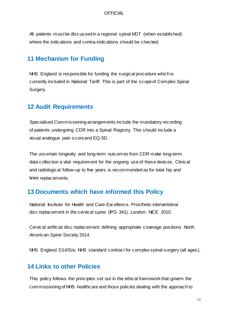All patients mustbe discussedin a regional spinal MDT (when established) where the indications and contra-indications should be checked.

# <span id="page-13-0"></span>**11 Mechanism for Funding**

NHS England is responsible for funding the surgical procedure which is currently included in National Tariff. This is part of the scopeof Complex Spinal Surgery.

## <span id="page-13-1"></span>**12 Audit Requirements**

Specialised Commissioning arrangements include the mandatory recording of patients undergoing CDR into a Spinal Registry. This should include a visual analogue pain scoreand EQ-5D.

The uncertain longevity and long-term outcomes from CDR make long-term data collection a vital requirement for the ongoing use of these devices. Clinical and radiological follow-up to five years is recommended as for total hip and knee replacements.

# <span id="page-13-2"></span>**13 Documents which have informed this Policy**

National Institute for Health and Care Excellence. Prosthetic intervertebral disc replacement in the cervical spine. (IPG 341). London: NICE 2010.

Cervical artificial disc replacement: defining appropriate coverage positions. North American Spine Society 2014.

NHS England D14/S/a: NHS standard contract for complex spinal surgery (all ages).

# <span id="page-13-3"></span>**14 Links to other Policies**

This policy follows the principles set out in the ethical framework that govern the commissioning of NHS healthcare and those policies dealing with the approach to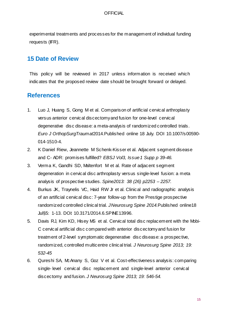experimental treatments and processes for the management of individual funding requests (**IFR**).

# <span id="page-14-0"></span>**15 Date of Review**

This policy will be reviewed in 2017 unless information is received which indicates that the proposed review date should be brought forward or delayed.

## <span id="page-14-1"></span>**References**

- 1. Luo J, Huang S, Gong M et al. Comparison of artificial cervical arthroplasty versus anterior cervical discectomyand fusion for one-level cervical degenerative disc disease: a meta-analysis of randomized controlled trials. *Euro J OrthopSurgTraumat*2014.Published online 18 July. DOI 10.1007/s00590- 014-1510-4.
- 2. K Daniel Riew, Jeannette M Schenk-Kisser et al. Adjacent segment disease and C- ADR: promises fulfilled? *EBSJ Vol3, Issue1 Supp p 39-46.*
- 3. Verma K, Gandhi SD, Maltenfort M et al. Rate of adjacent segment degeneration in cervical disc arthroplasty versus single-level fusion: a meta analysis of prospective studies. *Spine2013: 38 (26) p2253 – 2257.*
- 4. Burkus JK, Traynelis VC, Haid RW Jr et al. Clinical and radiographic analysis of an artificial cervical disc: 7-year follow-up from the Prestige prospective randomized controlled clinical trial. *JNeurosurg Spine 2014.*Published online18 Jul§5: 1-13. DOI: 10.3171/2014.6.SPINE13996.
- 5. Davis RJ, Kim KD, Hisey MS et al. Cervical total disc replacement with the Mobi-C cervical artificial disc compared with anterior discectomyand fusion for treatment of 2-level symptomatic degenerative disc disease: a prospective, randomized, controlled multicentre clinical trial. *J Neurosurg Spine 2013; 19: 532-45*
- 6. Qureshi SA, McAnany S, Goz V et al. Cost-effectiveness analysis: comparing single- level cervical disc replacement and single-level anterior cervical discectomy and fusion. *J Neurosurg Spine 2013; 19: 546-54.*